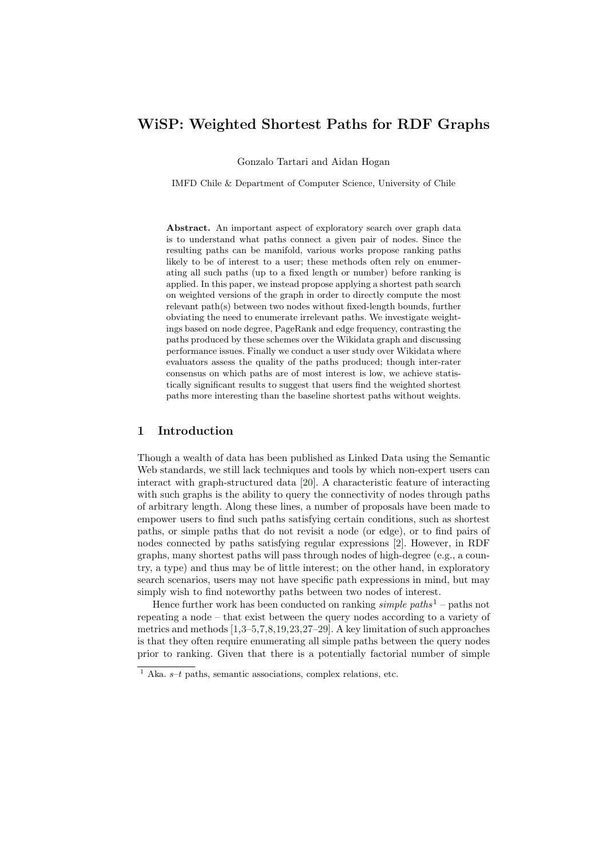# WiSP: Weighted Shortest Paths for RDF Graphs

Gonzalo Tartari and Aidan Hogan

IMFD Chile & Department of Computer Science, University of Chile

Abstract. An important aspect of exploratory search over graph data is to understand what paths connect a given pair of nodes. Since the resulting paths can be manifold, various works propose ranking paths likely to be of interest to a user; these methods often rely on enumerating all such paths (up to a fixed length or number) before ranking is applied. In this paper, we instead propose applying a shortest path search on weighted versions of the graph in order to directly compute the most relevant path(s) between two nodes without fixed-length bounds, further obviating the need to enumerate irrelevant paths. We investigate weightings based on node degree, PageRank and edge frequency, contrasting the paths produced by these schemes over the Wikidata graph and discussing performance issues. Finally we conduct a user study over Wikidata where evaluators assess the quality of the paths produced; though inter-rater consensus on which paths are of most interest is low, we achieve statistically significant results to suggest that users find the weighted shortest paths more interesting than the baseline shortest paths without weights.

### 1 Introduction

Though a wealth of data has been published as Linked Data using the Semantic Web standards, we still lack techniques and tools by which non-expert users can interact with graph-structured data [\[20\]](#page-15-0). A characteristic feature of interacting with such graphs is the ability to query the connectivity of nodes through paths of arbitrary length. Along these lines, a number of proposals have been made to empower users to find such paths satisfying certain conditions, such as shortest paths, or simple paths that do not revisit a node (or edge), or to find pairs of nodes connected by paths satisfying regular expressions [\[2\]](#page-14-0). However, in RDF graphs, many shortest paths will pass through nodes of high-degree (e.g., a country, a type) and thus may be of little interest; on the other hand, in exploratory search scenarios, users may not have specific path expressions in mind, but may simply wish to find noteworthy paths between two nodes of interest.

Hence further work has been conducted on ranking *simple paths*<sup>[1](#page-0-0)</sup> – paths not repeating a node – that exist between the query nodes according to a variety of metrics and methods [\[1,](#page-14-1)[3–](#page-14-2)[5,](#page-14-3)[7,](#page-14-4)[8,](#page-14-5)[19,](#page-15-1)[23,](#page-15-2)[27–](#page-15-3)[29\]](#page-15-4). A key limitation of such approaches is that they often require enumerating all simple paths between the query nodes prior to ranking. Given that there is a potentially factorial number of simple

<span id="page-0-0"></span><sup>&</sup>lt;sup>1</sup> Aka.  $s-t$  paths, semantic associations, complex relations, etc.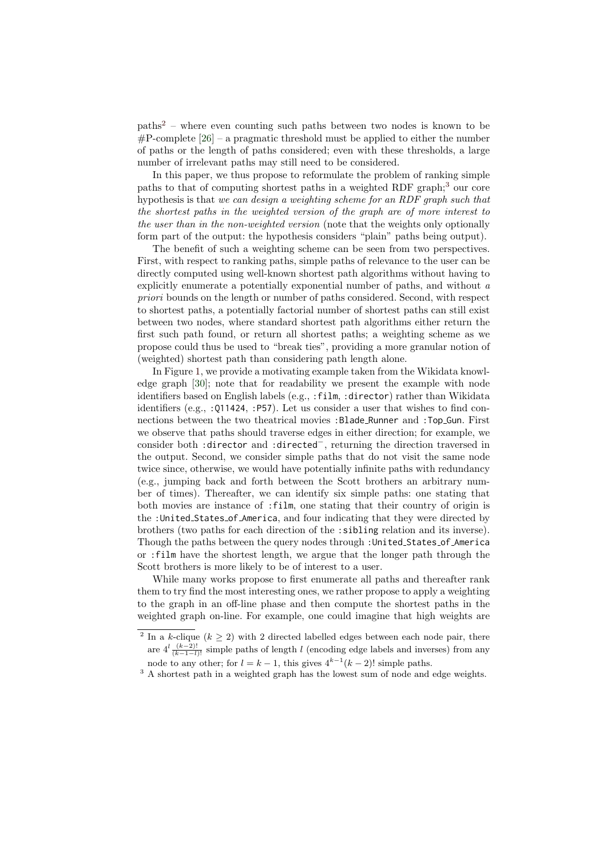paths[2](#page-1-0) – where even counting such paths between two nodes is known to be  $\#P$ -complete [\[26\]](#page-15-5) – a pragmatic threshold must be applied to either the number of paths or the length of paths considered; even with these thresholds, a large number of irrelevant paths may still need to be considered.

In this paper, we thus propose to reformulate the problem of ranking simple paths to that of computing shortest paths in a weighted RDF graph;<sup>[3](#page-1-1)</sup> our core hypothesis is that we can design a weighting scheme for an RDF graph such that the shortest paths in the weighted version of the graph are of more interest to the user than in the non-weighted version (note that the weights only optionally form part of the output: the hypothesis considers "plain" paths being output).

The benefit of such a weighting scheme can be seen from two perspectives. First, with respect to ranking paths, simple paths of relevance to the user can be directly computed using well-known shortest path algorithms without having to explicitly enumerate a potentially exponential number of paths, and without a priori bounds on the length or number of paths considered. Second, with respect to shortest paths, a potentially factorial number of shortest paths can still exist between two nodes, where standard shortest path algorithms either return the first such path found, or return all shortest paths; a weighting scheme as we propose could thus be used to "break ties", providing a more granular notion of (weighted) shortest path than considering path length alone.

In Figure [1,](#page-2-0) we provide a motivating example taken from the Wikidata knowledge graph [\[30\]](#page-15-6); note that for readability we present the example with node identifiers based on English labels (e.g., :film, :director) rather than Wikidata identifiers (e.g., :Q11424, :P57). Let us consider a user that wishes to find connections between the two theatrical movies :Blade Runner and :Top Gun. First we observe that paths should traverse edges in either direction; for example, we consider both :director and :directed<sup>−</sup>, returning the direction traversed in the output. Second, we consider simple paths that do not visit the same node twice since, otherwise, we would have potentially infinite paths with redundancy (e.g., jumping back and forth between the Scott brothers an arbitrary number of times). Thereafter, we can identify six simple paths: one stating that both movies are instance of :film, one stating that their country of origin is the :United States of America, and four indicating that they were directed by brothers (two paths for each direction of the :sibling relation and its inverse). Though the paths between the query nodes through :United States of America or :film have the shortest length, we argue that the longer path through the Scott brothers is more likely to be of interest to a user.

While many works propose to first enumerate all paths and thereafter rank them to try find the most interesting ones, we rather propose to apply a weighting to the graph in an off-line phase and then compute the shortest paths in the weighted graph on-line. For example, one could imagine that high weights are

<span id="page-1-0"></span><sup>&</sup>lt;sup>2</sup> In a k-clique ( $k \geq 2$ ) with 2 directed labelled edges between each node pair, there are  $4^l \frac{(k-2)!}{(k-1-l)!}$  simple paths of length l (encoding edge labels and inverses) from any node to any other; for  $l = k - 1$ , this gives  $4^{k-1}(k-2)!$  simple paths.

<span id="page-1-1"></span> $^3$  A shortest path in a weighted graph has the lowest sum of node and edge weights.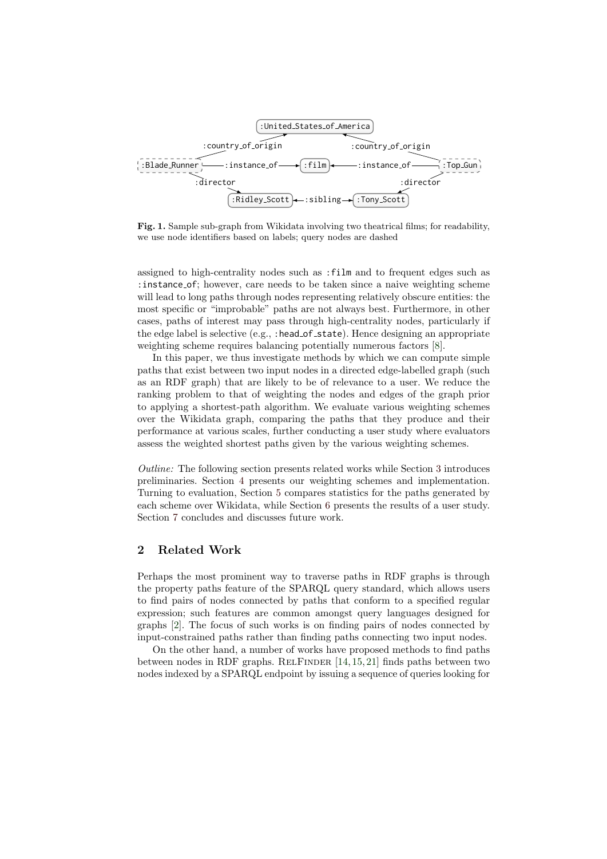

<span id="page-2-0"></span>Fig. 1. Sample sub-graph from Wikidata involving two theatrical films; for readability, we use node identifiers based on labels; query nodes are dashed

assigned to high-centrality nodes such as :film and to frequent edges such as : instance\_of; however, care needs to be taken since a naive weighting scheme will lead to long paths through nodes representing relatively obscure entities: the most specific or "improbable" paths are not always best. Furthermore, in other cases, paths of interest may pass through high-centrality nodes, particularly if the edge label is selective (e.g., : head\_of\_state). Hence designing an appropriate weighting scheme requires balancing potentially numerous factors [\[8\]](#page-14-5).

In this paper, we thus investigate methods by which we can compute simple paths that exist between two input nodes in a directed edge-labelled graph (such as an RDF graph) that are likely to be of relevance to a user. We reduce the ranking problem to that of weighting the nodes and edges of the graph prior to applying a shortest-path algorithm. We evaluate various weighting schemes over the Wikidata graph, comparing the paths that they produce and their performance at various scales, further conducting a user study where evaluators assess the weighted shortest paths given by the various weighting schemes.

Outline: The following section presents related works while Section [3](#page-3-0) introduces preliminaries. Section [4](#page-5-0) presents our weighting schemes and implementation. Turning to evaluation, Section [5](#page-7-0) compares statistics for the paths generated by each scheme over Wikidata, while Section [6](#page-10-0) presents the results of a user study. Section [7](#page-13-0) concludes and discusses future work.

### 2 Related Work

Perhaps the most prominent way to traverse paths in RDF graphs is through the property paths feature of the SPARQL query standard, which allows users to find pairs of nodes connected by paths that conform to a specified regular expression; such features are common amongst query languages designed for graphs [\[2\]](#page-14-0). The focus of such works is on finding pairs of nodes connected by input-constrained paths rather than finding paths connecting two input nodes.

On the other hand, a number of works have proposed methods to find paths between nodes in RDF graphs. RELFINDER  $[14, 15, 21]$  $[14, 15, 21]$  $[14, 15, 21]$  $[14, 15, 21]$  $[14, 15, 21]$  finds paths between two nodes indexed by a SPARQL endpoint by issuing a sequence of queries looking for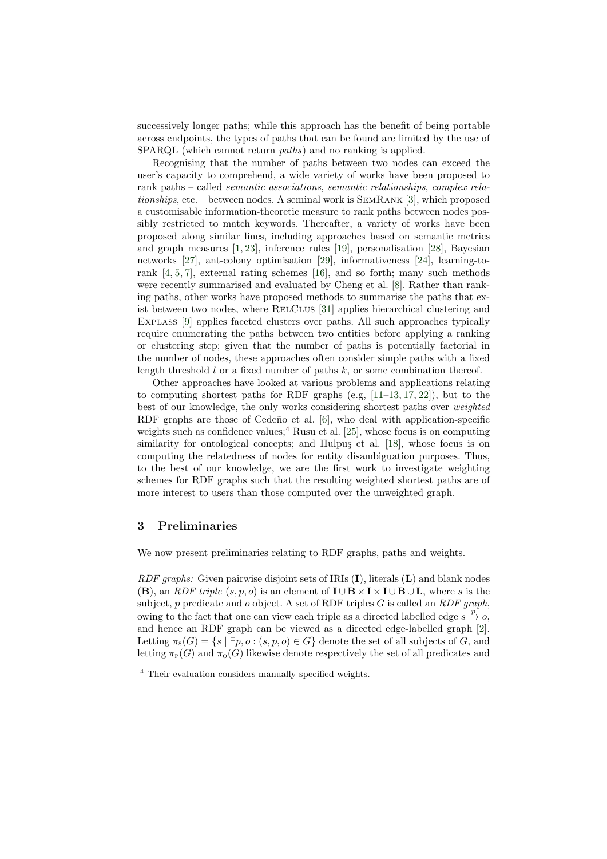successively longer paths; while this approach has the benefit of being portable across endpoints, the types of paths that can be found are limited by the use of SPARQL (which cannot return *paths*) and no ranking is applied.

Recognising that the number of paths between two nodes can exceed the user's capacity to comprehend, a wide variety of works have been proposed to rank paths – called semantic associations, semantic relationships, complex relationships, etc. – between nodes. A seminal work is SemRank [\[3\]](#page-14-2), which proposed a customisable information-theoretic measure to rank paths between nodes possibly restricted to match keywords. Thereafter, a variety of works have been proposed along similar lines, including approaches based on semantic metrics and graph measures [\[1,](#page-14-1) [23\]](#page-15-2), inference rules [\[19\]](#page-15-1), personalisation [\[28\]](#page-15-10), Bayesian networks [\[27\]](#page-15-3), ant-colony optimisation [\[29\]](#page-15-4), informativeness [\[24\]](#page-15-11), learning-torank [\[4,](#page-14-6) [5,](#page-14-3) [7\]](#page-14-4), external rating schemes [\[16\]](#page-15-12), and so forth; many such methods were recently summarised and evaluated by Cheng et al. [\[8\]](#page-14-5). Rather than ranking paths, other works have proposed methods to summarise the paths that ex-ist between two nodes, where RELCLUS [\[31\]](#page-15-13) applies hierarchical clustering and Explass [\[9\]](#page-14-7) applies faceted clusters over paths. All such approaches typically require enumerating the paths between two entities before applying a ranking or clustering step; given that the number of paths is potentially factorial in the number of nodes, these approaches often consider simple paths with a fixed length threshold  $l$  or a fixed number of paths  $k$ , or some combination thereof.

Other approaches have looked at various problems and applications relating to computing shortest paths for RDF graphs (e.g, [\[11](#page-14-8)[–13,](#page-14-9) [17,](#page-15-14) [22\]](#page-15-15)), but to the best of our knowledge, the only works considering shortest paths over weighted RDF graphs are those of Cedeño et al. [\[6\]](#page-14-10), who deal with application-specific weights such as confidence values;<sup>[4](#page-3-1)</sup> Rusu et al. [\[25\]](#page-15-16), whose focus is on computing similarity for ontological concepts; and Hulpus et al.  $[18]$ , whose focus is on computing the relatedness of nodes for entity disambiguation purposes. Thus, to the best of our knowledge, we are the first work to investigate weighting schemes for RDF graphs such that the resulting weighted shortest paths are of more interest to users than those computed over the unweighted graph.

### <span id="page-3-0"></span>3 Preliminaries

We now present preliminaries relating to RDF graphs, paths and weights.

RDF graphs: Given pairwise disjoint sets of IRIs  $(I)$ , literals  $(L)$  and blank nodes (B), an RDF triple  $(s, p, o)$  is an element of  $\mathbf{I} \cup \mathbf{B} \times \mathbf{I} \times \mathbf{I} \cup \mathbf{B} \cup \mathbf{L}$ , where s is the subject, p predicate and o object. A set of RDF triples G is called an  $RDF$  graph, owing to the fact that one can view each triple as a directed labelled edge  $s \stackrel{p}{\rightarrow} o$ , and hence an RDF graph can be viewed as a directed edge-labelled graph [\[2\]](#page-14-0). Letting  $\pi_s(G) = \{s \mid \exists p, o : (s, p, o) \in G\}$  denote the set of all subjects of G, and letting  $\pi_P(G)$  and  $\pi_Q(G)$  likewise denote respectively the set of all predicates and

<span id="page-3-1"></span><sup>4</sup> Their evaluation considers manually specified weights.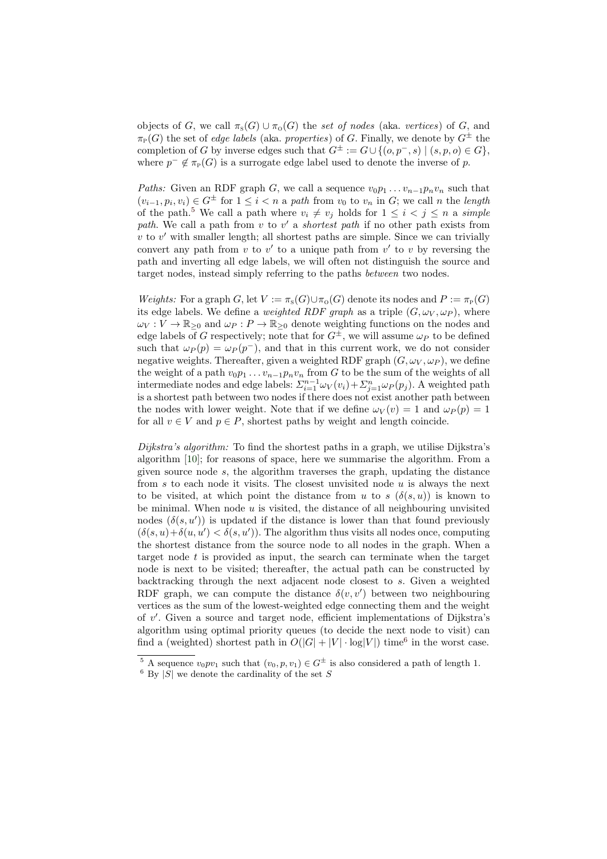objects of G, we call  $\pi_s(G) \cup \pi_0(G)$  the set of nodes (aka. vertices) of G, and  $\pi_P(G)$  the set of *edge labels* (aka. *properties*) of G. Finally, we denote by  $G^{\pm}$  the completion of G by inverse edges such that  $G^{\pm} := G \cup \{(o, p^-, s) \mid (s, p, o) \in G\},\$ where  $p^- \notin \pi_P(G)$  is a surrogate edge label used to denote the inverse of p.

Paths: Given an RDF graph G, we call a sequence  $v_0p_1 \ldots v_{n-1}p_nv_n$  such that  $(v_{i-1}, p_i, v_i) \in G^{\pm}$  for  $1 \leq i < n$  a path from  $v_0$  to  $v_n$  in  $G$ ; we call n the length of the path.<sup>[5](#page-4-0)</sup> We call a path where  $v_i \neq v_j$  holds for  $1 \leq i \leq j \leq n$  a simple path. We call a path from  $v$  to  $v'$  a shortest path if no other path exists from  $v$  to  $v'$  with smaller length; all shortest paths are simple. Since we can trivially convert any path from  $v$  to  $v'$  to a unique path from  $v'$  to  $v$  by reversing the path and inverting all edge labels, we will often not distinguish the source and target nodes, instead simply referring to the paths between two nodes.

Weights: For a graph G, let  $V := \pi_s(G) \cup \pi_0(G)$  denote its nodes and  $P := \pi_P(G)$ its edge labels. We define a *weighted RDF graph* as a triple  $(G, \omega_V, \omega_P)$ , where  $\omega_V : V \to \mathbb{R}_{\geq 0}$  and  $\omega_P : P \to \mathbb{R}_{\geq 0}$  denote weighting functions on the nodes and edge labels of G respectively; note that for  $G^{\pm}$ , we will assume  $\omega_P$  to be defined such that  $\omega_P(p) = \omega_P(p^-)$ , and that in this current work, we do not consider negative weights. Thereafter, given a weighted RDF graph  $(G, \omega_V, \omega_P)$ , we define the weight of a path  $v_0p_1 \ldots v_{n-1}p_nv_n$  from G to be the sum of the weights of all intermediate nodes and edge labels:  $\sum_{i=1}^{n-1} \omega_V(v_i) + \sum_{j=1}^{n} \omega_P(p_j)$ . A weighted path is a shortest path between two nodes if there does not exist another path between the nodes with lower weight. Note that if we define  $\omega_V(v) = 1$  and  $\omega_P(v) = 1$ for all  $v \in V$  and  $p \in P$ , shortest paths by weight and length coincide.

Dijkstra's algorithm: To find the shortest paths in a graph, we utilise Dijkstra's algorithm [\[10\]](#page-14-11); for reasons of space, here we summarise the algorithm. From a given source node  $s$ , the algorithm traverses the graph, updating the distance from s to each node it visits. The closest unvisited node  $u$  is always the next to be visited, at which point the distance from u to s  $(\delta(s, u))$  is known to be minimal. When node  $u$  is visited, the distance of all neighbouring unvisited nodes  $(\delta(s, u'))$  is updated if the distance is lower than that found previously  $(\delta(s, u) + \delta(u, u') < \delta(s, u'))$ . The algorithm thus visits all nodes once, computing the shortest distance from the source node to all nodes in the graph. When a target node  $t$  is provided as input, the search can terminate when the target node is next to be visited; thereafter, the actual path can be constructed by backtracking through the next adjacent node closest to  $s$ . Given a weighted RDF graph, we can compute the distance  $\delta(v, v')$  between two neighbouring vertices as the sum of the lowest-weighted edge connecting them and the weight of v 0 . Given a source and target node, efficient implementations of Dijkstra's algorithm using optimal priority queues (to decide the next node to visit) can find a (weighted) shortest path in  $O(|G| + |V| \cdot \log|V|)$  time<sup>[6](#page-4-1)</sup> in the worst case.

<span id="page-4-0"></span><sup>&</sup>lt;sup>5</sup> A sequence  $v_0pv_1$  such that  $(v_0, p, v_1) \in G^{\pm}$  is also considered a path of length 1.

<span id="page-4-1"></span> $6$  By  $|\overline{S}|$  we denote the cardinality of the set S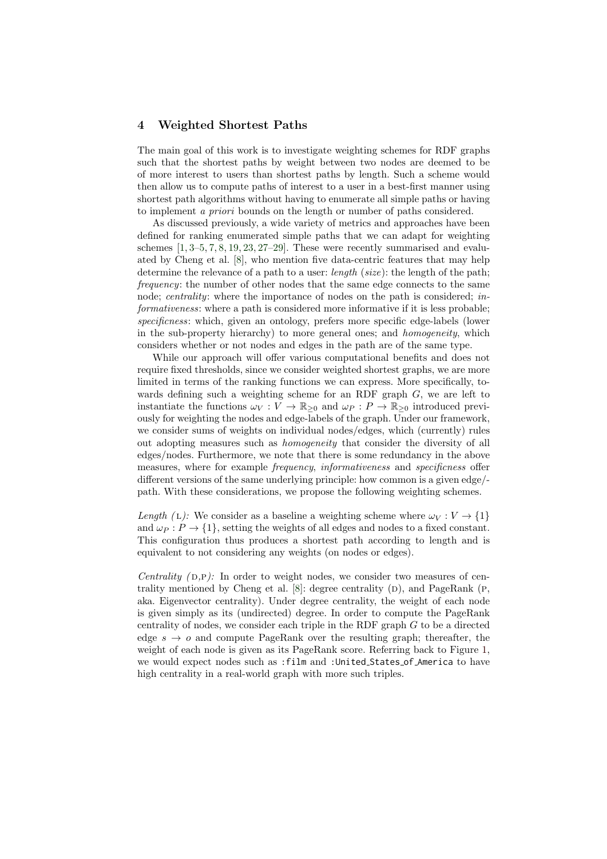## <span id="page-5-0"></span>4 Weighted Shortest Paths

The main goal of this work is to investigate weighting schemes for RDF graphs such that the shortest paths by weight between two nodes are deemed to be of more interest to users than shortest paths by length. Such a scheme would then allow us to compute paths of interest to a user in a best-first manner using shortest path algorithms without having to enumerate all simple paths or having to implement a priori bounds on the length or number of paths considered.

As discussed previously, a wide variety of metrics and approaches have been defined for ranking enumerated simple paths that we can adapt for weighting schemes  $[1, 3-5, 7, 8, 19, 23, 27-29]$  $[1, 3-5, 7, 8, 19, 23, 27-29]$  $[1, 3-5, 7, 8, 19, 23, 27-29]$  $[1, 3-5, 7, 8, 19, 23, 27-29]$  $[1, 3-5, 7, 8, 19, 23, 27-29]$  $[1, 3-5, 7, 8, 19, 23, 27-29]$  $[1, 3-5, 7, 8, 19, 23, 27-29]$  $[1, 3-5, 7, 8, 19, 23, 27-29]$  $[1, 3-5, 7, 8, 19, 23, 27-29]$  $[1, 3-5, 7, 8, 19, 23, 27-29]$  $[1, 3-5, 7, 8, 19, 23, 27-29]$  $[1, 3-5, 7, 8, 19, 23, 27-29]$  $[1, 3-5, 7, 8, 19, 23, 27-29]$ . These were recently summarised and evaluated by Cheng et al. [\[8\]](#page-14-5), who mention five data-centric features that may help determine the relevance of a path to a user: *length* (size): the length of the path; frequency: the number of other nodes that the same edge connects to the same node; centrality: where the importance of nodes on the path is considered; informativeness: where a path is considered more informative if it is less probable; specificness: which, given an ontology, prefers more specific edge-labels (lower in the sub-property hierarchy) to more general ones; and homogeneity, which considers whether or not nodes and edges in the path are of the same type.

While our approach will offer various computational benefits and does not require fixed thresholds, since we consider weighted shortest graphs, we are more limited in terms of the ranking functions we can express. More specifically, towards defining such a weighting scheme for an RDF graph G, we are left to instantiate the functions  $\omega_V : V \to \mathbb{R}_{\geq 0}$  and  $\omega_P : P \to \mathbb{R}_{\geq 0}$  introduced previously for weighting the nodes and edge-labels of the graph. Under our framework, we consider sums of weights on individual nodes/edges, which (currently) rules out adopting measures such as homogeneity that consider the diversity of all edges/nodes. Furthermore, we note that there is some redundancy in the above measures, where for example frequency, informativeness and specificness offer different versions of the same underlying principle: how common is a given edge/ path. With these considerations, we propose the following weighting schemes.

Length (L): We consider as a baseline a weighting scheme where  $\omega_V : V \to \{1\}$ and  $\omega_P : P \to \{1\}$ , setting the weights of all edges and nodes to a fixed constant. This configuration thus produces a shortest path according to length and is equivalent to not considering any weights (on nodes or edges).

Centrality  $(p,p)$ : In order to weight nodes, we consider two measures of centrality mentioned by Cheng et al.  $[8]$ : degree centrality  $(D)$ , and PageRank  $(P,$ aka. Eigenvector centrality). Under degree centrality, the weight of each node is given simply as its (undirected) degree. In order to compute the PageRank centrality of nodes, we consider each triple in the RDF graph G to be a directed edge  $s \to o$  and compute PageRank over the resulting graph; thereafter, the weight of each node is given as its PageRank score. Referring back to Figure [1,](#page-2-0) we would expect nodes such as :film and :United States of America to have high centrality in a real-world graph with more such triples.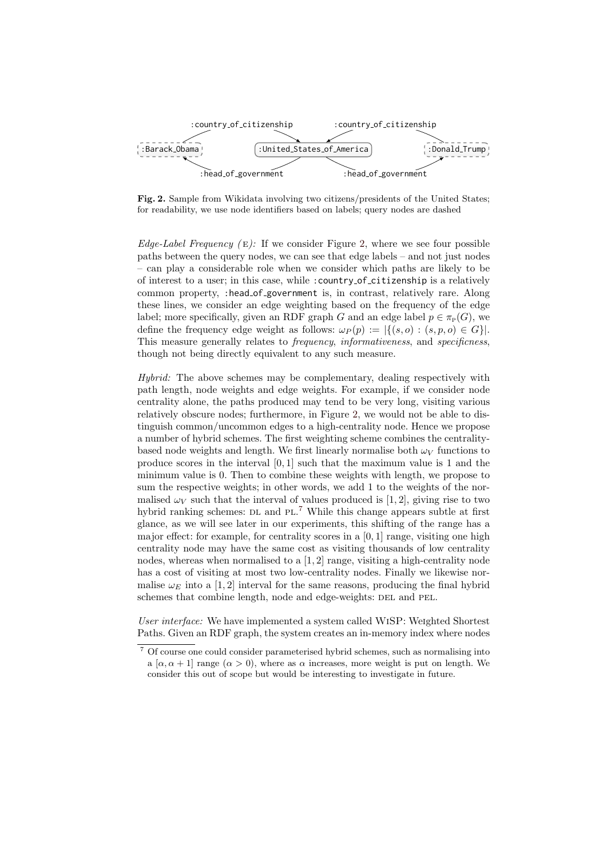

<span id="page-6-0"></span>Fig. 2. Sample from Wikidata involving two citizens/presidents of the United States; for readability, we use node identifiers based on labels; query nodes are dashed

Edge-Label Frequency  $(E)$ : If we consider Figure [2,](#page-6-0) where we see four possible paths between the query nodes, we can see that edge labels – and not just nodes – can play a considerable role when we consider which paths are likely to be of interest to a user; in this case, while :country of citizenship is a relatively common property, :head of government is, in contrast, relatively rare. Along these lines, we consider an edge weighting based on the frequency of the edge label; more specifically, given an RDF graph G and an edge label  $p \in \pi_P(G)$ , we define the frequency edge weight as follows:  $\omega_P(p) := |\{(s, o) : (s, p, o) \in G\}|$ . This measure generally relates to *frequency, informativeness*, and *specificness*, though not being directly equivalent to any such measure.

Hybrid: The above schemes may be complementary, dealing respectively with path length, node weights and edge weights. For example, if we consider node centrality alone, the paths produced may tend to be very long, visiting various relatively obscure nodes; furthermore, in Figure [2,](#page-6-0) we would not be able to distinguish common/uncommon edges to a high-centrality node. Hence we propose a number of hybrid schemes. The first weighting scheme combines the centralitybased node weights and length. We first linearly normalise both  $\omega_V$  functions to produce scores in the interval [0, 1] such that the maximum value is 1 and the minimum value is 0. Then to combine these weights with length, we propose to sum the respective weights; in other words, we add 1 to the weights of the normalised  $\omega_V$  such that the interval of values produced is [1, 2], giving rise to two hybrid ranking schemes: DL and PL.<sup>[7](#page-6-1)</sup> While this change appears subtle at first glance, as we will see later in our experiments, this shifting of the range has a major effect: for example, for centrality scores in a [0, 1] range, visiting one high centrality node may have the same cost as visiting thousands of low centrality nodes, whereas when normalised to a  $[1, 2]$  range, visiting a high-centrality node has a cost of visiting at most two low-centrality nodes. Finally we likewise normalise  $\omega_E$  into a [1, 2] interval for the same reasons, producing the final hybrid schemes that combine length, node and edge-weights: DEL and PEL.

User interface: We have implemented a system called WISP: Weighted Shortest Paths. Given an RDF graph, the system creates an in-memory index where nodes

<span id="page-6-1"></span><sup>7</sup> Of course one could consider parameterised hybrid schemes, such as normalising into a [ $\alpha, \alpha + 1$ ] range  $(\alpha > 0)$ , where as  $\alpha$  increases, more weight is put on length. We consider this out of scope but would be interesting to investigate in future.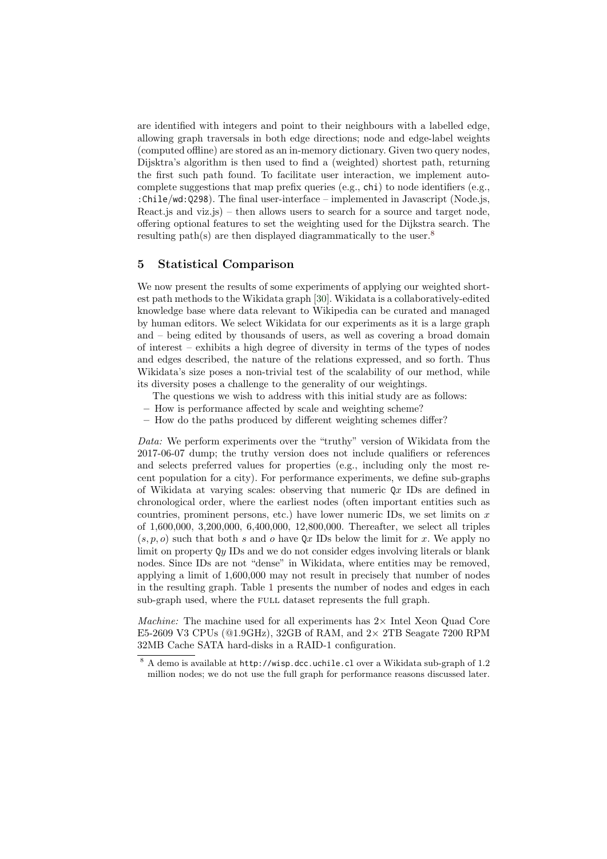are identified with integers and point to their neighbours with a labelled edge, allowing graph traversals in both edge directions; node and edge-label weights (computed offline) are stored as an in-memory dictionary. Given two query nodes, Dijsktra's algorithm is then used to find a (weighted) shortest path, returning the first such path found. To facilitate user interaction, we implement autocomplete suggestions that map prefix queries (e.g., chi) to node identifiers (e.g., :Chile/wd:Q298). The final user-interface – implemented in Javascript (Node.js, React. is and viz. is) – then allows users to search for a source and target node, offering optional features to set the weighting used for the Dijkstra search. The resulting path(s) are then displayed diagrammatically to the user.<sup>[8](#page-7-1)</sup>

### <span id="page-7-0"></span>5 Statistical Comparison

We now present the results of some experiments of applying our weighted shortest path methods to the Wikidata graph [\[30\]](#page-15-6). Wikidata is a collaboratively-edited knowledge base where data relevant to Wikipedia can be curated and managed by human editors. We select Wikidata for our experiments as it is a large graph and – being edited by thousands of users, as well as covering a broad domain of interest – exhibits a high degree of diversity in terms of the types of nodes and edges described, the nature of the relations expressed, and so forth. Thus Wikidata's size poses a non-trivial test of the scalability of our method, while its diversity poses a challenge to the generality of our weightings.

- The questions we wish to address with this initial study are as follows:
- How is performance affected by scale and weighting scheme?
- How do the paths produced by different weighting schemes differ?

Data: We perform experiments over the "truthy" version of Wikidata from the 2017-06-07 dump; the truthy version does not include qualifiers or references and selects preferred values for properties (e.g., including only the most recent population for a city). For performance experiments, we define sub-graphs of Wikidata at varying scales: observing that numeric  $Qx$  IDs are defined in chronological order, where the earliest nodes (often important entities such as countries, prominent persons, etc.) have lower numeric IDs, we set limits on  $x$ of 1,600,000, 3,200,000, 6,400,000, 12,800,000. Thereafter, we select all triples  $(s, p, o)$  such that both s and o have Qx IDs below the limit for x. We apply no limit on property Qy IDs and we do not consider edges involving literals or blank nodes. Since IDs are not "dense" in Wikidata, where entities may be removed, applying a limit of 1,600,000 may not result in precisely that number of nodes in the resulting graph. Table [1](#page-8-0) presents the number of nodes and edges in each sub-graph used, where the FULL dataset represents the full graph.

*Machine:* The machine used for all experiments has  $2 \times$  Intel Xeon Quad Core E5-2609 V3 CPUs  $(@1.9GHz)$ , 32GB of RAM, and  $2 \times$  2TB Seagate 7200 RPM 32MB Cache SATA hard-disks in a RAID-1 configuration.

<span id="page-7-1"></span><sup>8</sup> A demo is available at http://wisp.dcc.uchile.cl over a Wikidata sub-graph of 1.2 million nodes; we do not use the full graph for performance reasons discussed later.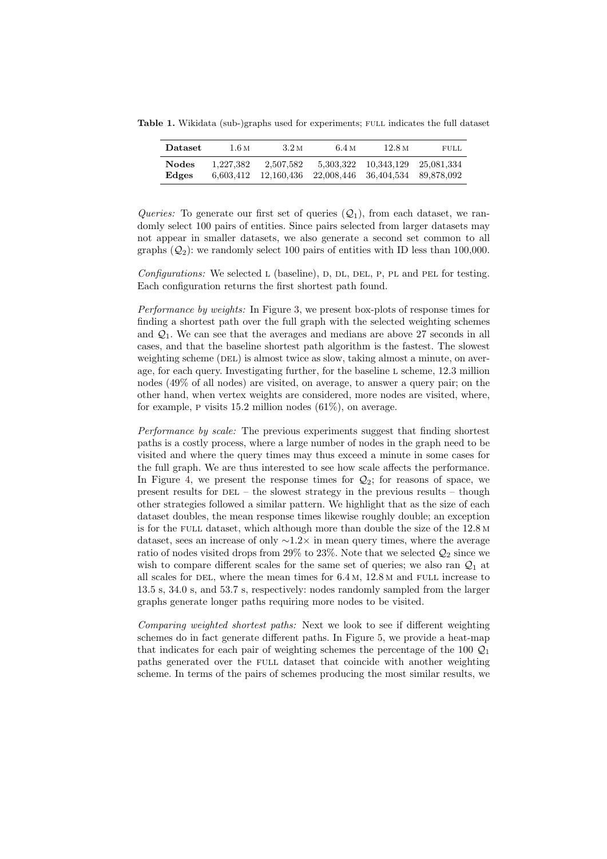Table 1. Wikidata (sub-)graphs used for experiments; full indicates the full dataset

<span id="page-8-0"></span>

| Dataset      | 1.6 M     | 3.2 <sub>M</sub> | 6.4 <sub>M</sub> | 12.8 M     | <b>FULL</b> |
|--------------|-----------|------------------|------------------|------------|-------------|
| <b>Nodes</b> | 1.227.382 | 2.507.582        | 5,303,322        | 10,343,129 | 25.081.334  |
| Edges        | 6.603.412 | 12.160.436       | 22.008.446       | 36,404,534 | 89.878.092  |

Queries: To generate our first set of queries  $(Q_1)$ , from each dataset, we randomly select 100 pairs of entities. Since pairs selected from larger datasets may not appear in smaller datasets, we also generate a second set common to all graphs  $(Q_2)$ : we randomly select 100 pairs of entities with ID less than 100,000.

Configurations: We selected L (baseline), D, DL, DEL, P, PL and PEL for testing. Each configuration returns the first shortest path found.

Performance by weights: In Figure [3,](#page-9-0) we present box-plots of response times for finding a shortest path over the full graph with the selected weighting schemes and  $\mathcal{Q}_1$ . We can see that the averages and medians are above 27 seconds in all cases, and that the baseline shortest path algorithm is the fastest. The slowest weighting scheme (DEL) is almost twice as slow, taking almost a minute, on average, for each query. Investigating further, for the baseline l scheme, 12.3 million nodes (49% of all nodes) are visited, on average, to answer a query pair; on the other hand, when vertex weights are considered, more nodes are visited, where, for example, P visits 15.2 million nodes  $(61\%)$ , on average.

Performance by scale: The previous experiments suggest that finding shortest paths is a costly process, where a large number of nodes in the graph need to be visited and where the query times may thus exceed a minute in some cases for the full graph. We are thus interested to see how scale affects the performance. In Figure [4,](#page-9-1) we present the response times for  $\mathcal{Q}_2$ ; for reasons of space, we present results for  $DEL$  – the slowest strategy in the previous results – though other strategies followed a similar pattern. We highlight that as the size of each dataset doubles, the mean response times likewise roughly double; an exception is for the full dataset, which although more than double the size of the 12.8 m dataset, sees an increase of only ∼1.2× in mean query times, where the average ratio of nodes visited drops from 29% to 23%. Note that we selected  $\mathcal{Q}_2$  since we wish to compare different scales for the same set of queries; we also ran  $\mathcal{Q}_1$  at all scales for DEL, where the mean times for  $6.4 M$ ,  $12.8 M$  and FULL increase to 13.5 s, 34.0 s, and 53.7 s, respectively: nodes randomly sampled from the larger graphs generate longer paths requiring more nodes to be visited.

Comparing weighted shortest paths: Next we look to see if different weighting schemes do in fact generate different paths. In Figure [5,](#page-9-2) we provide a heat-map that indicates for each pair of weighting schemes the percentage of the 100  $\mathcal{Q}_1$ paths generated over the full dataset that coincide with another weighting scheme. In terms of the pairs of schemes producing the most similar results, we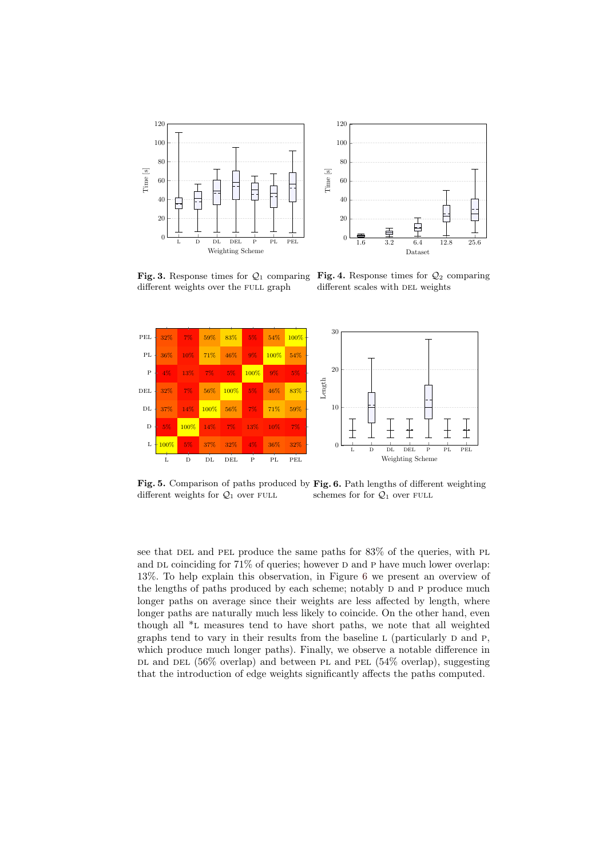

<span id="page-9-1"></span>

different weights over the FULL graph

<span id="page-9-0"></span>Fig. 3. Response times for  $\mathcal{Q}_1$  comparing Fig. 4. Response times for  $\mathcal{Q}_2$  comparing different scales with DEL weights



<span id="page-9-3"></span><span id="page-9-2"></span>Fig. 5. Comparison of paths produced by Fig. 6. Path lengths of different weighting different weights for  $Q_1$  over FULL schemes for for  $Q_1$  over FULL

see that DEL and PEL produce the same paths for  $83\%$  of the queries, with PL and DL coinciding for  $71\%$  of queries; however D and P have much lower overlap: 13%. To help explain this observation, in Figure [6](#page-9-3) we present an overview of the lengths of paths produced by each scheme; notably D and P produce much longer paths on average since their weights are less affected by length, where longer paths are naturally much less likely to coincide. On the other hand, even though all \*l measures tend to have short paths, we note that all weighted graphs tend to vary in their results from the baseline  $L$  (particularly  $D$  and  $P$ , which produce much longer paths). Finally, we observe a notable difference in DL and DEL  $(56\% \text{ overlap})$  and between PL and PEL  $(54\% \text{ overlap})$ , suggesting that the introduction of edge weights significantly affects the paths computed.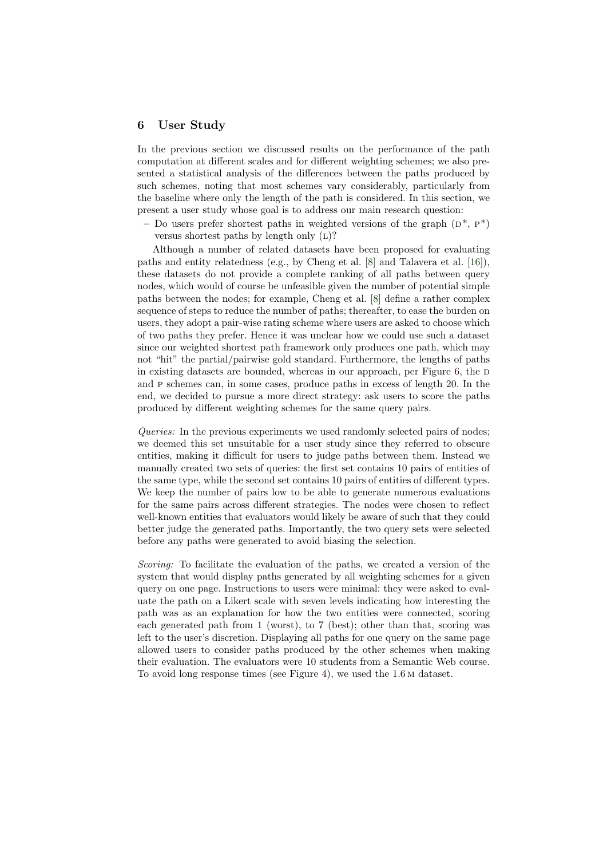### <span id="page-10-0"></span>6 User Study

In the previous section we discussed results on the performance of the path computation at different scales and for different weighting schemes; we also presented a statistical analysis of the differences between the paths produced by such schemes, noting that most schemes vary considerably, particularly from the baseline where only the length of the path is considered. In this section, we present a user study whose goal is to address our main research question:

– Do users prefer shortest paths in weighted versions of the graph  $(D^*, P^*)$ versus shortest paths by length only  $(L)$ ?

Although a number of related datasets have been proposed for evaluating paths and entity relatedness (e.g., by Cheng et al. [\[8\]](#page-14-5) and Talavera et al. [\[16\]](#page-15-12)), these datasets do not provide a complete ranking of all paths between query nodes, which would of course be unfeasible given the number of potential simple paths between the nodes; for example, Cheng et al. [\[8\]](#page-14-5) define a rather complex sequence of steps to reduce the number of paths; thereafter, to ease the burden on users, they adopt a pair-wise rating scheme where users are asked to choose which of two paths they prefer. Hence it was unclear how we could use such a dataset since our weighted shortest path framework only produces one path, which may not "hit" the partial/pairwise gold standard. Furthermore, the lengths of paths in existing datasets are bounded, whereas in our approach, per Figure  $6$ , the D and p schemes can, in some cases, produce paths in excess of length 20. In the end, we decided to pursue a more direct strategy: ask users to score the paths produced by different weighting schemes for the same query pairs.

Queries: In the previous experiments we used randomly selected pairs of nodes; we deemed this set unsuitable for a user study since they referred to obscure entities, making it difficult for users to judge paths between them. Instead we manually created two sets of queries: the first set contains 10 pairs of entities of the same type, while the second set contains 10 pairs of entities of different types. We keep the number of pairs low to be able to generate numerous evaluations for the same pairs across different strategies. The nodes were chosen to reflect well-known entities that evaluators would likely be aware of such that they could better judge the generated paths. Importantly, the two query sets were selected before any paths were generated to avoid biasing the selection.

Scoring: To facilitate the evaluation of the paths, we created a version of the system that would display paths generated by all weighting schemes for a given query on one page. Instructions to users were minimal: they were asked to evaluate the path on a Likert scale with seven levels indicating how interesting the path was as an explanation for how the two entities were connected, scoring each generated path from 1 (worst), to 7 (best); other than that, scoring was left to the user's discretion. Displaying all paths for one query on the same page allowed users to consider paths produced by the other schemes when making their evaluation. The evaluators were 10 students from a Semantic Web course. To avoid long response times (see Figure [4\)](#page-9-1), we used the 1.6 m dataset.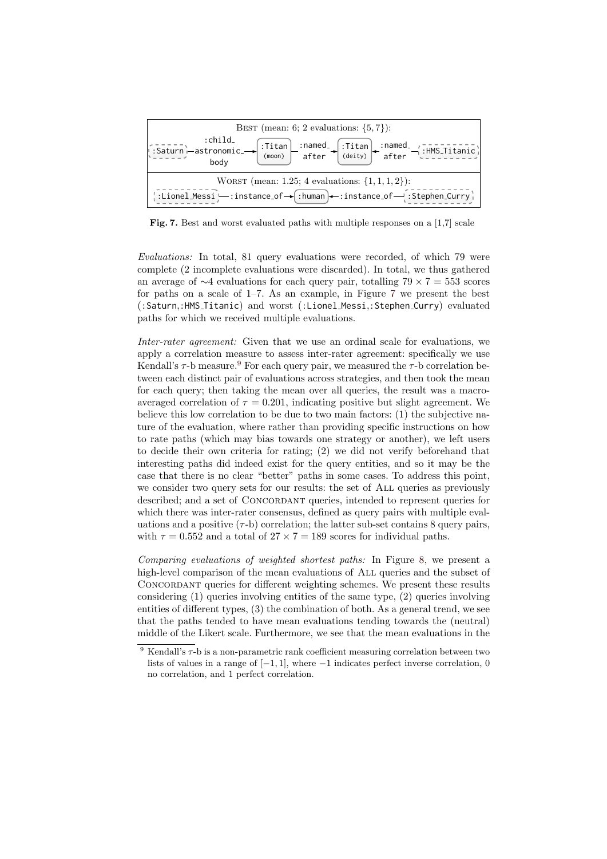

<span id="page-11-0"></span>Fig. 7. Best and worst evaluated paths with multiple responses on a [1,7] scale

Evaluations: In total, 81 query evaluations were recorded, of which 79 were complete (2 incomplete evaluations were discarded). In total, we thus gathered an average of  $\sim$ 4 evaluations for each query pair, totalling 79 × 7 = 553 scores for paths on a scale of 1–7. As an example, in Figure [7](#page-11-0) we present the best (:Saturn,:HMS Titanic) and worst (:Lionel Messi,:Stephen Curry) evaluated paths for which we received multiple evaluations.

Inter-rater agreement: Given that we use an ordinal scale for evaluations, we apply a correlation measure to assess inter-rater agreement: specifically we use Kendall's  $\tau$ -b measure.<sup>[9](#page-11-1)</sup> For each query pair, we measured the  $\tau$ -b correlation between each distinct pair of evaluations across strategies, and then took the mean for each query; then taking the mean over all queries, the result was a macroaveraged correlation of  $\tau = 0.201$ , indicating positive but slight agreement. We believe this low correlation to be due to two main factors: (1) the subjective nature of the evaluation, where rather than providing specific instructions on how to rate paths (which may bias towards one strategy or another), we left users to decide their own criteria for rating; (2) we did not verify beforehand that interesting paths did indeed exist for the query entities, and so it may be the case that there is no clear "better" paths in some cases. To address this point, we consider two query sets for our results: the set of All queries as previously described; and a set of CONCORDANT queries, intended to represent queries for which there was inter-rater consensus, defined as query pairs with multiple evaluations and a positive  $(\tau - b)$  correlation; the latter sub-set contains 8 query pairs, with  $\tau = 0.552$  and a total of  $27 \times 7 = 189$  scores for individual paths.

Comparing evaluations of weighted shortest paths: In Figure [8,](#page-12-0) we present a high-level comparison of the mean evaluations of ALL queries and the subset of CONCORDANT queries for different weighting schemes. We present these results considering (1) queries involving entities of the same type, (2) queries involving entities of different types, (3) the combination of both. As a general trend, we see that the paths tended to have mean evaluations tending towards the (neutral) middle of the Likert scale. Furthermore, we see that the mean evaluations in the

<span id="page-11-1"></span> $9$  Kendall's  $\tau$ -b is a non-parametric rank coefficient measuring correlation between two lists of values in a range of  $[-1, 1]$ , where  $-1$  indicates perfect inverse correlation, 0 no correlation, and 1 perfect correlation.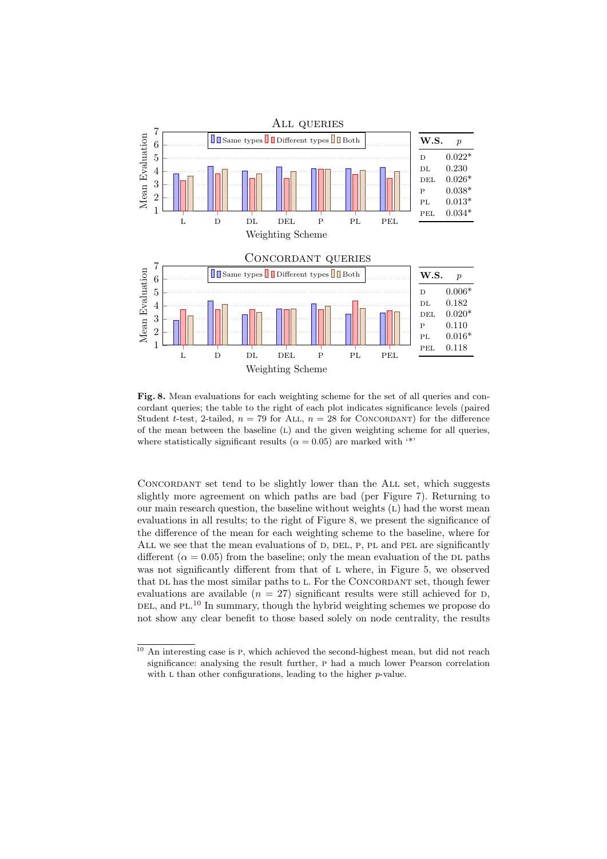

<span id="page-12-0"></span>Fig. 8. Mean evaluations for each weighting scheme for the set of all queries and concordant queries; the table to the right of each plot indicates significance levels (paired Student t-test, 2-tailed,  $n = 79$  for ALL,  $n = 28$  for CONCORDANT) for the difference of the mean between the baseline (L) and the given weighting scheme for all queries, where statistically significant results ( $\alpha = 0.05$ ) are marked with <sup>\*\*</sup>

Concordant set tend to be slightly lower than the All set, which suggests slightly more agreement on which paths are bad (per Figure [7\)](#page-11-0). Returning to our main research question, the baseline without weights  $(L)$  had the worst mean evaluations in all results; to the right of Figure [8,](#page-12-0) we present the significance of the difference of the mean for each weighting scheme to the baseline, where for ALL we see that the mean evaluations of D, DEL, P, PL and PEL are significantly different ( $\alpha = 0.05$ ) from the baseline; only the mean evaluation of the DL paths was not significantly different from that of L where, in Figure [5,](#page-9-2) we observed that DL has the most similar paths to L. For the CONCORDANT set, though fewer evaluations are available  $(n = 27)$  significant results were still achieved for D, DEL, and PL.<sup>[10](#page-12-1)</sup> In summary, though the hybrid weighting schemes we propose do not show any clear benefit to those based solely on node centrality, the results

<span id="page-12-1"></span> $\frac{10}{10}$  An interesting case is P, which achieved the second-highest mean, but did not reach significance: analysing the result further, p had a much lower Pearson correlation with  $L$  than other configurations, leading to the higher  $p$ -value.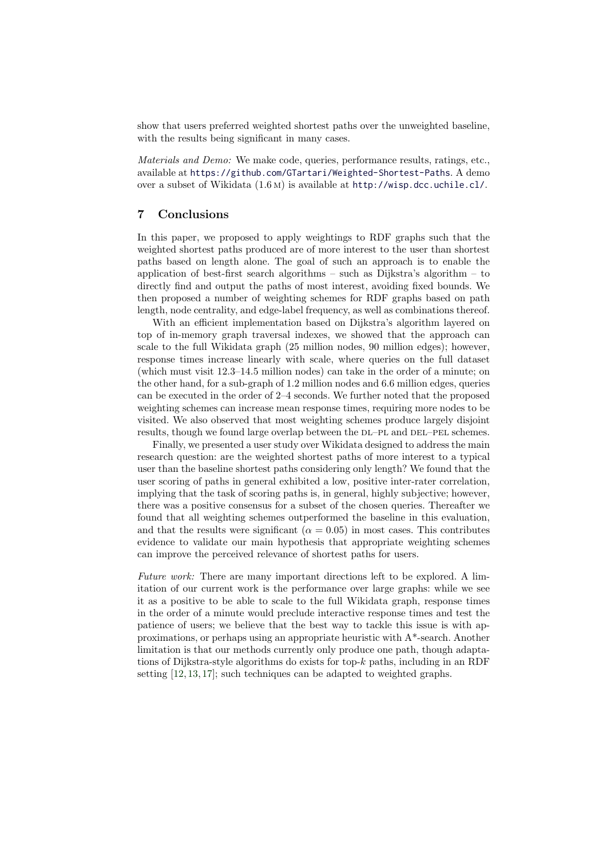show that users preferred weighted shortest paths over the unweighted baseline, with the results being significant in many cases.

Materials and Demo: We make code, queries, performance results, ratings, etc., available at <https://github.com/GTartari/Weighted-Shortest-Paths>. A demo over a subset of Wikidata (1.6 m) is available at <http://wisp.dcc.uchile.cl/>.

### <span id="page-13-0"></span>7 Conclusions

In this paper, we proposed to apply weightings to RDF graphs such that the weighted shortest paths produced are of more interest to the user than shortest paths based on length alone. The goal of such an approach is to enable the application of best-first search algorithms – such as Dijkstra's algorithm – to directly find and output the paths of most interest, avoiding fixed bounds. We then proposed a number of weighting schemes for RDF graphs based on path length, node centrality, and edge-label frequency, as well as combinations thereof.

With an efficient implementation based on Dijkstra's algorithm layered on top of in-memory graph traversal indexes, we showed that the approach can scale to the full Wikidata graph (25 million nodes, 90 million edges); however, response times increase linearly with scale, where queries on the full dataset (which must visit 12.3–14.5 million nodes) can take in the order of a minute; on the other hand, for a sub-graph of 1.2 million nodes and 6.6 million edges, queries can be executed in the order of 2–4 seconds. We further noted that the proposed weighting schemes can increase mean response times, requiring more nodes to be visited. We also observed that most weighting schemes produce largely disjoint results, though we found large overlap between the  $DL-PL$  and  $DEL-PEL$  schemes.

Finally, we presented a user study over Wikidata designed to address the main research question: are the weighted shortest paths of more interest to a typical user than the baseline shortest paths considering only length? We found that the user scoring of paths in general exhibited a low, positive inter-rater correlation, implying that the task of scoring paths is, in general, highly subjective; however, there was a positive consensus for a subset of the chosen queries. Thereafter we found that all weighting schemes outperformed the baseline in this evaluation, and that the results were significant ( $\alpha = 0.05$ ) in most cases. This contributes evidence to validate our main hypothesis that appropriate weighting schemes can improve the perceived relevance of shortest paths for users.

Future work: There are many important directions left to be explored. A limitation of our current work is the performance over large graphs: while we see it as a positive to be able to scale to the full Wikidata graph, response times in the order of a minute would preclude interactive response times and test the patience of users; we believe that the best way to tackle this issue is with approximations, or perhaps using an appropriate heuristic with  $A^*$ -search. Another limitation is that our methods currently only produce one path, though adaptations of Dijkstra-style algorithms do exists for top-k paths, including in an RDF setting [\[12,](#page-14-12) [13,](#page-14-9) [17\]](#page-15-14); such techniques can be adapted to weighted graphs.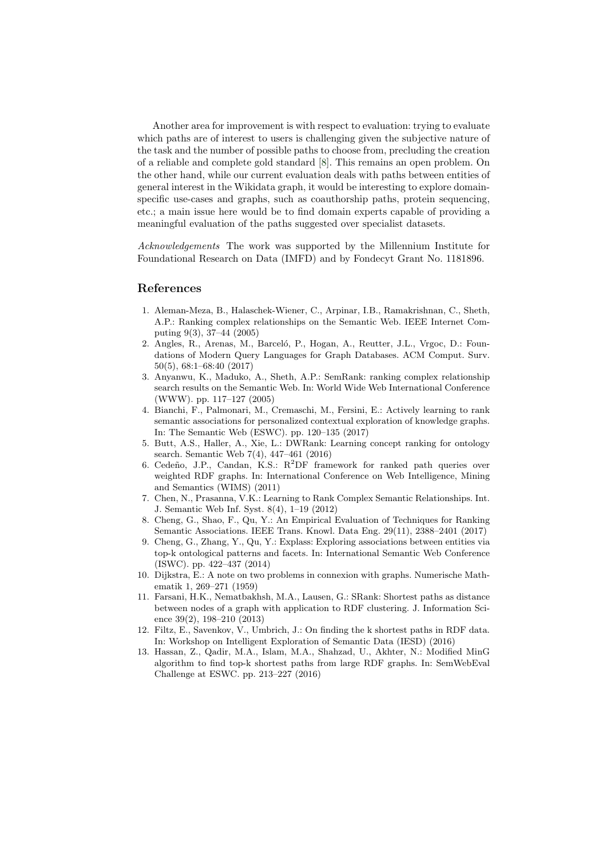Another area for improvement is with respect to evaluation: trying to evaluate which paths are of interest to users is challenging given the subjective nature of the task and the number of possible paths to choose from, precluding the creation of a reliable and complete gold standard [\[8\]](#page-14-5). This remains an open problem. On the other hand, while our current evaluation deals with paths between entities of general interest in the Wikidata graph, it would be interesting to explore domainspecific use-cases and graphs, such as coauthorship paths, protein sequencing, etc.; a main issue here would be to find domain experts capable of providing a meaningful evaluation of the paths suggested over specialist datasets.

Acknowledgements The work was supported by the Millennium Institute for Foundational Research on Data (IMFD) and by Fondecyt Grant No. 1181896.

#### References

- <span id="page-14-1"></span>1. Aleman-Meza, B., Halaschek-Wiener, C., Arpinar, I.B., Ramakrishnan, C., Sheth, A.P.: Ranking complex relationships on the Semantic Web. IEEE Internet Computing 9(3), 37–44 (2005)
- <span id="page-14-0"></span>2. Angles, R., Arenas, M., Barceló, P., Hogan, A., Reutter, J.L., Vrgoc, D.: Foundations of Modern Query Languages for Graph Databases. ACM Comput. Surv. 50(5), 68:1–68:40 (2017)
- <span id="page-14-2"></span>3. Anyanwu, K., Maduko, A., Sheth, A.P.: SemRank: ranking complex relationship search results on the Semantic Web. In: World Wide Web International Conference (WWW). pp. 117–127 (2005)
- <span id="page-14-6"></span>4. Bianchi, F., Palmonari, M., Cremaschi, M., Fersini, E.: Actively learning to rank semantic associations for personalized contextual exploration of knowledge graphs. In: The Semantic Web (ESWC). pp. 120–135 (2017)
- <span id="page-14-3"></span>5. Butt, A.S., Haller, A., Xie, L.: DWRank: Learning concept ranking for ontology search. Semantic Web 7(4), 447–461 (2016)
- <span id="page-14-10"></span>6. Cedeño, J.P., Candan, K.S.:  $R^2DF$  framework for ranked path queries over weighted RDF graphs. In: International Conference on Web Intelligence, Mining and Semantics (WIMS) (2011)
- <span id="page-14-4"></span>7. Chen, N., Prasanna, V.K.: Learning to Rank Complex Semantic Relationships. Int. J. Semantic Web Inf. Syst. 8(4), 1–19 (2012)
- <span id="page-14-5"></span>8. Cheng, G., Shao, F., Qu, Y.: An Empirical Evaluation of Techniques for Ranking Semantic Associations. IEEE Trans. Knowl. Data Eng. 29(11), 2388–2401 (2017)
- <span id="page-14-7"></span>9. Cheng, G., Zhang, Y., Qu, Y.: Explass: Exploring associations between entities via top-k ontological patterns and facets. In: International Semantic Web Conference (ISWC). pp. 422–437 (2014)
- <span id="page-14-11"></span>10. Dijkstra, E.: A note on two problems in connexion with graphs. Numerische Mathematik 1, 269–271 (1959)
- <span id="page-14-8"></span>11. Farsani, H.K., Nematbakhsh, M.A., Lausen, G.: SRank: Shortest paths as distance between nodes of a graph with application to RDF clustering. J. Information Science 39(2), 198–210 (2013)
- <span id="page-14-12"></span>12. Filtz, E., Savenkov, V., Umbrich, J.: On finding the k shortest paths in RDF data. In: Workshop on Intelligent Exploration of Semantic Data (IESD) (2016)
- <span id="page-14-9"></span>13. Hassan, Z., Qadir, M.A., Islam, M.A., Shahzad, U., Akhter, N.: Modified MinG algorithm to find top-k shortest paths from large RDF graphs. In: SemWebEval Challenge at ESWC. pp. 213–227 (2016)